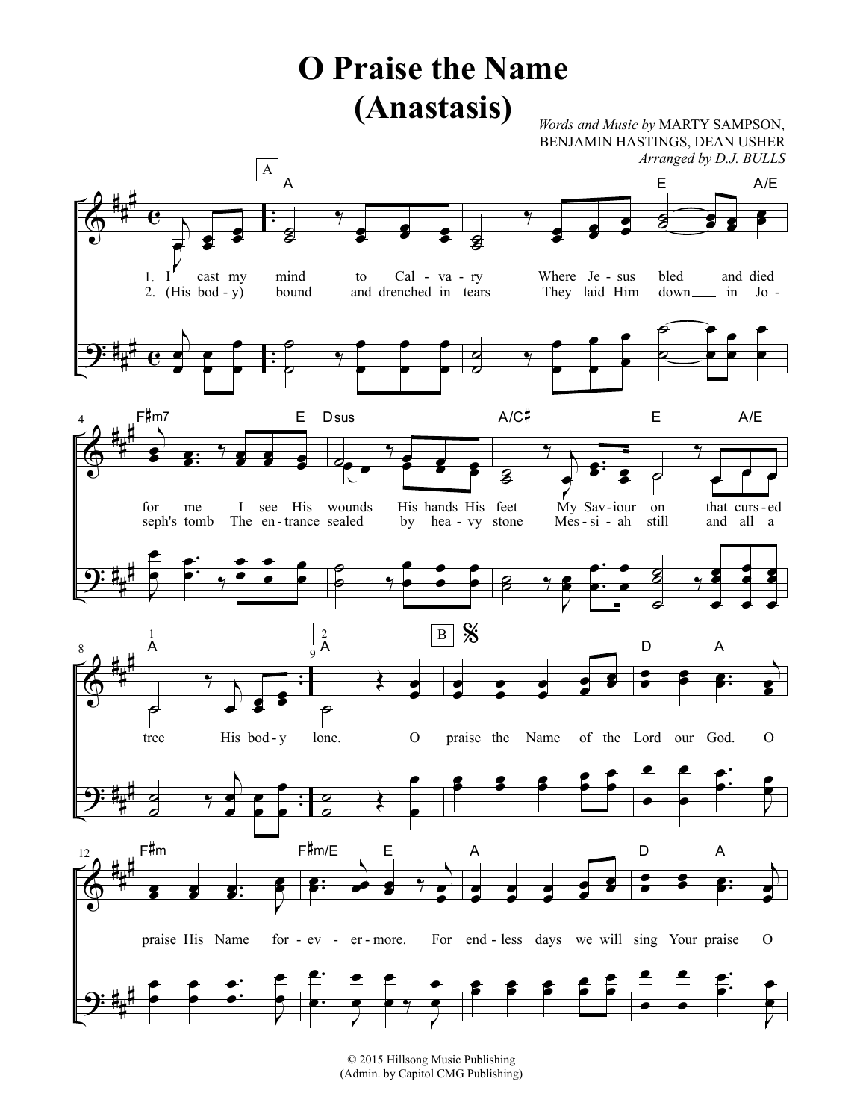## **O Praise the Name** (Anastasis) Words and Music by MARTY SAMPSON, BENJAMIN HASTINGS, DEAN USHER Arranged by D.J. BULLS  $\boxed{\mathbf{A}}_{\mathbf{A}}$ Ε  $A/E$ e 8 cast my mind Cal - va - ry Where Je - sus bled<sub>\_\_\_\_</sub> and died  $1. I$ to  $2.$  $(His bod - y)$ and drenched in tears They laid Him bound down \_\_\_\_\_ in Jo -F#m7  $A/C$ # E  $\mathsf E$ Dsus  $A/E$ S My Sav-iour for me  $\mathbf{I}$ see His wounds His hands His feet on that curs-ed seph's tomb The en-trance sealed by hea - vy stone  $Mes - si - ah$ still and all a  $\%$  $\begin{array}{c} 2 \\ 9 \text{ A} \end{array}$  $\mathbf{1}$  $\, {\bf B} \,$ A D A ढ  $\overline{\boldsymbol{\varphi}}$ tree His bod-y lone.  $\mathbf{O}$ praise the Name of the Lord our God.  $\mathbf{O}$ F#m F#m/E E  $\overline{A}$ D A  $12$  $\mathcal{O}$ praise His Name for  $-ev$   $er$   $-$  more. For end - less days we will sing Your praise

© 2015 Hillsong Music Publishing (Admin. by Capitol CMG Publishing)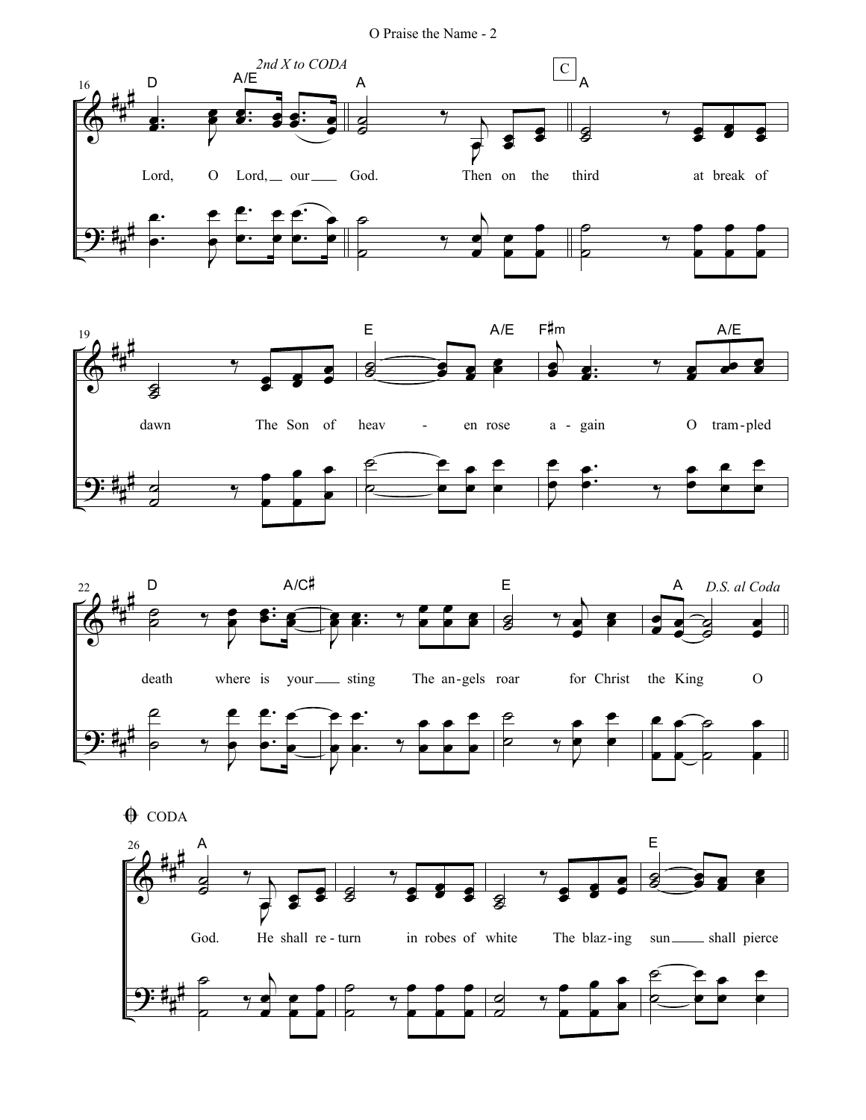O Praise the Name - 2







 $\bigoplus$  CODA